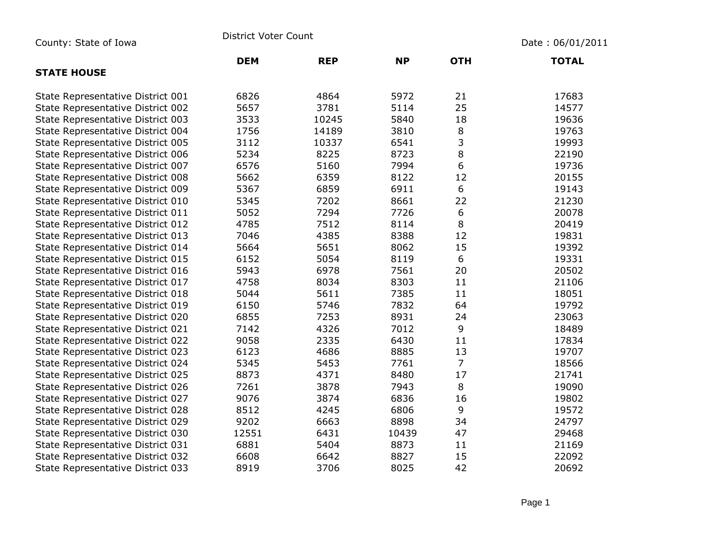County: State of Iowa **District Voter Count** Description of the United State of Iowa Date : 06/01/2011

|                                   | <b>DEM</b> | <b>REP</b> | <b>NP</b> | <b>OTH</b>     | <b>TOTAL</b> |
|-----------------------------------|------------|------------|-----------|----------------|--------------|
| <b>STATE HOUSE</b>                |            |            |           |                |              |
| State Representative District 001 | 6826       | 4864       | 5972      | 21             | 17683        |
| State Representative District 002 | 5657       | 3781       | 5114      | 25             | 14577        |
| State Representative District 003 | 3533       | 10245      | 5840      | 18             | 19636        |
| State Representative District 004 | 1756       | 14189      | 3810      | 8              | 19763        |
| State Representative District 005 | 3112       | 10337      | 6541      | 3              | 19993        |
| State Representative District 006 | 5234       | 8225       | 8723      | 8              | 22190        |
| State Representative District 007 | 6576       | 5160       | 7994      | 6              | 19736        |
| State Representative District 008 | 5662       | 6359       | 8122      | 12             | 20155        |
| State Representative District 009 | 5367       | 6859       | 6911      | 6              | 19143        |
| State Representative District 010 | 5345       | 7202       | 8661      | 22             | 21230        |
| State Representative District 011 | 5052       | 7294       | 7726      | 6              | 20078        |
| State Representative District 012 | 4785       | 7512       | 8114      | 8              | 20419        |
| State Representative District 013 | 7046       | 4385       | 8388      | 12             | 19831        |
| State Representative District 014 | 5664       | 5651       | 8062      | 15             | 19392        |
| State Representative District 015 | 6152       | 5054       | 8119      | 6              | 19331        |
| State Representative District 016 | 5943       | 6978       | 7561      | 20             | 20502        |
| State Representative District 017 | 4758       | 8034       | 8303      | 11             | 21106        |
| State Representative District 018 | 5044       | 5611       | 7385      | 11             | 18051        |
| State Representative District 019 | 6150       | 5746       | 7832      | 64             | 19792        |
| State Representative District 020 | 6855       | 7253       | 8931      | 24             | 23063        |
| State Representative District 021 | 7142       | 4326       | 7012      | 9              | 18489        |
| State Representative District 022 | 9058       | 2335       | 6430      | 11             | 17834        |
| State Representative District 023 | 6123       | 4686       | 8885      | 13             | 19707        |
| State Representative District 024 | 5345       | 5453       | 7761      | $\overline{7}$ | 18566        |
| State Representative District 025 | 8873       | 4371       | 8480      | 17             | 21741        |
| State Representative District 026 | 7261       | 3878       | 7943      | 8              | 19090        |
| State Representative District 027 | 9076       | 3874       | 6836      | 16             | 19802        |
| State Representative District 028 | 8512       | 4245       | 6806      | 9              | 19572        |
| State Representative District 029 | 9202       | 6663       | 8898      | 34             | 24797        |
| State Representative District 030 | 12551      | 6431       | 10439     | 47             | 29468        |
| State Representative District 031 | 6881       | 5404       | 8873      | 11             | 21169        |
| State Representative District 032 | 6608       | 6642       | 8827      | 15             | 22092        |
| State Representative District 033 | 8919       | 3706       | 8025      | 42             | 20692        |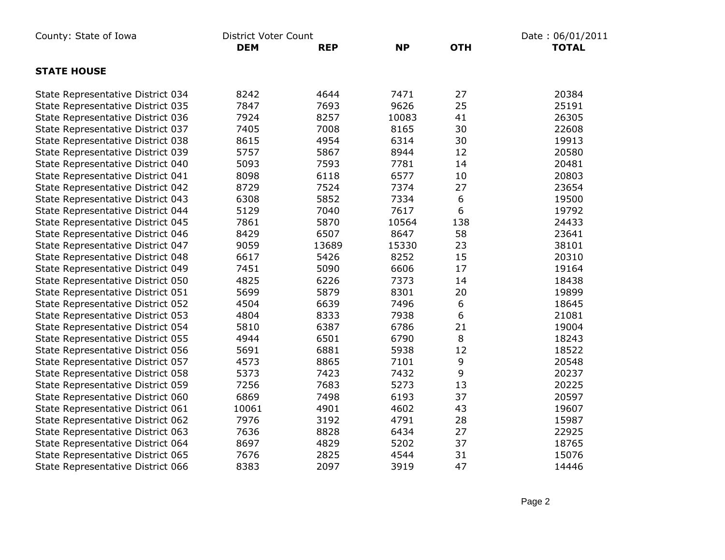| County: State of Iowa             | District Voter Count |            |           | Date: 06/01/2011 |              |  |
|-----------------------------------|----------------------|------------|-----------|------------------|--------------|--|
|                                   | <b>DEM</b>           | <b>REP</b> | <b>NP</b> | <b>OTH</b>       | <b>TOTAL</b> |  |
| <b>STATE HOUSE</b>                |                      |            |           |                  |              |  |
| State Representative District 034 | 8242                 | 4644       | 7471      | 27               | 20384        |  |
| State Representative District 035 | 7847                 | 7693       | 9626      | 25               | 25191        |  |
| State Representative District 036 | 7924                 | 8257       | 10083     | 41               | 26305        |  |
| State Representative District 037 | 7405                 | 7008       | 8165      | 30               | 22608        |  |
| State Representative District 038 | 8615                 | 4954       | 6314      | 30               | 19913        |  |
| State Representative District 039 | 5757                 | 5867       | 8944      | 12               | 20580        |  |
| State Representative District 040 | 5093                 | 7593       | 7781      | 14               | 20481        |  |
| State Representative District 041 | 8098                 | 6118       | 6577      | 10               | 20803        |  |
| State Representative District 042 | 8729                 | 7524       | 7374      | 27               | 23654        |  |
| State Representative District 043 | 6308                 | 5852       | 7334      | 6                | 19500        |  |
| State Representative District 044 | 5129                 | 7040       | 7617      | 6                | 19792        |  |
| State Representative District 045 | 7861                 | 5870       | 10564     | 138              | 24433        |  |
| State Representative District 046 | 8429                 | 6507       | 8647      | 58               | 23641        |  |
| State Representative District 047 | 9059                 | 13689      | 15330     | 23               | 38101        |  |
| State Representative District 048 | 6617                 | 5426       | 8252      | 15               | 20310        |  |
| State Representative District 049 | 7451                 | 5090       | 6606      | 17               | 19164        |  |
| State Representative District 050 | 4825                 | 6226       | 7373      | 14               | 18438        |  |
| State Representative District 051 | 5699                 | 5879       | 8301      | 20               | 19899        |  |
| State Representative District 052 | 4504                 | 6639       | 7496      | 6                | 18645        |  |
| State Representative District 053 | 4804                 | 8333       | 7938      | 6                | 21081        |  |
| State Representative District 054 | 5810                 | 6387       | 6786      | 21               | 19004        |  |
| State Representative District 055 | 4944                 | 6501       | 6790      | $\,8\,$          | 18243        |  |
| State Representative District 056 | 5691                 | 6881       | 5938      | 12               | 18522        |  |
| State Representative District 057 | 4573                 | 8865       | 7101      | 9                | 20548        |  |
| State Representative District 058 | 5373                 | 7423       | 7432      | 9                | 20237        |  |
| State Representative District 059 | 7256                 | 7683       | 5273      | 13               | 20225        |  |
| State Representative District 060 | 6869                 | 7498       | 6193      | 37               | 20597        |  |
| State Representative District 061 | 10061                | 4901       | 4602      | 43               | 19607        |  |
| State Representative District 062 | 7976                 | 3192       | 4791      | 28               | 15987        |  |
| State Representative District 063 | 7636                 | 8828       | 6434      | 27               | 22925        |  |
| State Representative District 064 | 8697                 | 4829       | 5202      | 37               | 18765        |  |
| State Representative District 065 | 7676                 | 2825       | 4544      | 31               | 15076        |  |
| State Representative District 066 | 8383                 | 2097       | 3919      | 47               | 14446        |  |